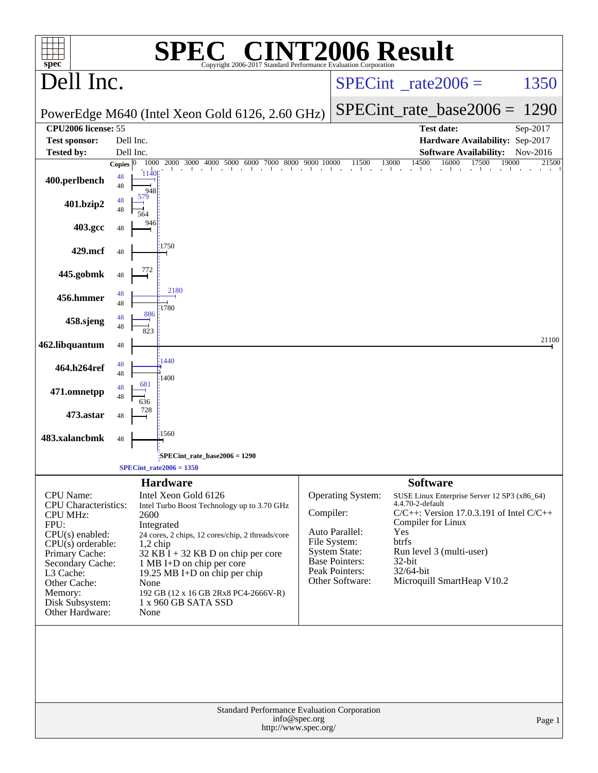| $spec^*$                                       |                                                                                                |                        | C® CINT2006 Result<br>SPE<br>Copyright 2006-2017 Standard Performance Evaluation Corporation |           |                                         |                                                                   |                |  |
|------------------------------------------------|------------------------------------------------------------------------------------------------|------------------------|----------------------------------------------------------------------------------------------|-----------|-----------------------------------------|-------------------------------------------------------------------|----------------|--|
| Dell Inc.                                      |                                                                                                |                        |                                                                                              |           | $SPECint^{\circ}$ rate $2006 =$         | 1350                                                              |                |  |
|                                                |                                                                                                |                        | PowerEdge M640 (Intel Xeon Gold 6126, 2.60 GHz)                                              |           | $SPECint_rate\_base2006 =$              | 1290                                                              |                |  |
| CPU2006 license: 55                            |                                                                                                |                        |                                                                                              |           |                                         | <b>Test date:</b>                                                 | Sep-2017       |  |
| <b>Test sponsor:</b><br><b>Tested by:</b>      |                                                                                                | Dell Inc.<br>Dell Inc. |                                                                                              |           |                                         | Hardware Availability: Sep-2017<br><b>Software Availability:</b>  | Nov-2016       |  |
|                                                | Copies $ 0 $                                                                                   | 1000                   | 2000 3000 4000 5000<br>6000 7000 8000 9000 10000                                             |           | 11500                                   | 14500<br>16000<br>13000<br>17500                                  | 19000<br>21500 |  |
| 400.perlbench                                  | 48<br>48                                                                                       | 1140<br>948            |                                                                                              |           |                                         |                                                                   |                |  |
| 401.bzip2                                      | 48<br>48                                                                                       | 579<br>564             |                                                                                              |           |                                         |                                                                   |                |  |
| 403.gcc                                        | 48                                                                                             | 946                    |                                                                                              |           |                                         |                                                                   |                |  |
| 429.mcf                                        | 48                                                                                             |                        | 1750                                                                                         |           |                                         |                                                                   |                |  |
| 445.gobmk                                      | 48                                                                                             | 772                    |                                                                                              |           |                                         |                                                                   |                |  |
| 456.hmmer                                      | 48<br>48                                                                                       |                        | 2180<br>1780                                                                                 |           |                                         |                                                                   |                |  |
| 458.sjeng                                      | 48<br>48                                                                                       | 886<br>823             |                                                                                              |           |                                         |                                                                   |                |  |
| 462.libquantum                                 | $\sqrt{48}$                                                                                    |                        |                                                                                              |           |                                         |                                                                   | 21100          |  |
| 464.h264ref                                    | 48<br>48                                                                                       |                        | 1440<br>1400                                                                                 |           |                                         |                                                                   |                |  |
| 471.omnetpp                                    | 48<br>48                                                                                       | 681<br>636             |                                                                                              |           |                                         |                                                                   |                |  |
| 473.astar                                      | 48                                                                                             | 728                    |                                                                                              |           |                                         |                                                                   |                |  |
| 483.xalancbmk                                  | 48                                                                                             |                        | 1560                                                                                         |           |                                         |                                                                   |                |  |
|                                                |                                                                                                |                        | SPECint_rate_base2006 = 1290<br>SPECint rate $2006 = 1350$                                   |           |                                         |                                                                   |                |  |
|                                                |                                                                                                |                        | <b>Hardware</b>                                                                              |           |                                         | <b>Software</b>                                                   |                |  |
| <b>CPU</b> Name:                               |                                                                                                |                        | Intel Xeon Gold 6126                                                                         |           | Operating System:                       | SUSE Linux Enterprise Server 12 SP3 (x86_64)                      |                |  |
| <b>CPU</b> Characteristics:<br><b>CPU MHz:</b> |                                                                                                | 2600                   | Intel Turbo Boost Technology up to 3.70 GHz                                                  | Compiler: |                                         | 4.4.70-2-default<br>$C/C++$ : Version 17.0.3.191 of Intel $C/C++$ |                |  |
| FPU:                                           |                                                                                                |                        | Integrated                                                                                   |           |                                         | Compiler for Linux                                                |                |  |
| $CPU(s)$ enabled:<br>$CPU(s)$ orderable:       |                                                                                                |                        | 24 cores, 2 chips, 12 cores/chip, 2 threads/core                                             |           | Auto Parallel:<br>File System:          | Yes<br><b>btrfs</b>                                               |                |  |
| Primary Cache:                                 |                                                                                                | $1,2$ chip             | $32$ KB I + 32 KB D on chip per core                                                         |           | <b>System State:</b>                    | Run level 3 (multi-user)                                          |                |  |
| Secondary Cache:                               |                                                                                                |                        | 1 MB I+D on chip per core                                                                    |           | <b>Base Pointers:</b><br>Peak Pointers: | $32$ -bit<br>32/64-bit                                            |                |  |
| L3 Cache:<br>Other Cache:                      |                                                                                                | None                   | 19.25 MB I+D on chip per chip                                                                |           | Other Software:                         | Microquill SmartHeap V10.2                                        |                |  |
| Memory:                                        |                                                                                                |                        | 192 GB (12 x 16 GB 2Rx8 PC4-2666V-R)                                                         |           |                                         |                                                                   |                |  |
| Disk Subsystem:<br>Other Hardware:             |                                                                                                | None                   | 1 x 960 GB SATA SSD                                                                          |           |                                         |                                                                   |                |  |
|                                                |                                                                                                |                        |                                                                                              |           |                                         |                                                                   |                |  |
|                                                | Standard Performance Evaluation Corporation<br>info@spec.org<br>Page 1<br>http://www.spec.org/ |                        |                                                                                              |           |                                         |                                                                   |                |  |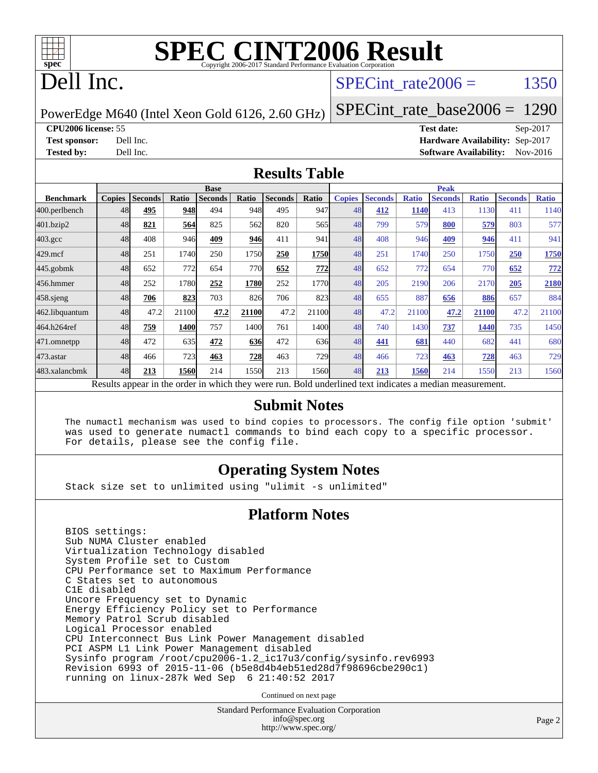

## Dell Inc.

#### SPECint rate $2006 =$  1350

PowerEdge M640 (Intel Xeon Gold 6126, 2.60 GHz)

[SPECint\\_rate\\_base2006 =](http://www.spec.org/auto/cpu2006/Docs/result-fields.html#SPECintratebase2006) 1290

**[CPU2006 license:](http://www.spec.org/auto/cpu2006/Docs/result-fields.html#CPU2006license)** 55 **[Test date:](http://www.spec.org/auto/cpu2006/Docs/result-fields.html#Testdate)** Sep-2017 **[Test sponsor:](http://www.spec.org/auto/cpu2006/Docs/result-fields.html#Testsponsor)** Dell Inc. **[Hardware Availability:](http://www.spec.org/auto/cpu2006/Docs/result-fields.html#HardwareAvailability)** Sep-2017 **[Tested by:](http://www.spec.org/auto/cpu2006/Docs/result-fields.html#Testedby)** Dell Inc. **[Software Availability:](http://www.spec.org/auto/cpu2006/Docs/result-fields.html#SoftwareAvailability)** Nov-2016

#### **[Results Table](http://www.spec.org/auto/cpu2006/Docs/result-fields.html#ResultsTable)**

|                                                                                                          | <b>Base</b>   |                |       |                |       | <b>Peak</b>    |       |               |                |              |                |              |                |              |
|----------------------------------------------------------------------------------------------------------|---------------|----------------|-------|----------------|-------|----------------|-------|---------------|----------------|--------------|----------------|--------------|----------------|--------------|
| <b>Benchmark</b>                                                                                         | <b>Copies</b> | <b>Seconds</b> | Ratio | <b>Seconds</b> | Ratio | <b>Seconds</b> | Ratio | <b>Copies</b> | <b>Seconds</b> | <b>Ratio</b> | <b>Seconds</b> | <b>Ratio</b> | <b>Seconds</b> | <b>Ratio</b> |
| 400.perlbench                                                                                            | 48            | 495            | 948   | 494            | 948   | 495            | 947   | 48            | 412            | <b>1140</b>  | 413            | 1130         | 411            | 1140         |
| 401.bzip2                                                                                                | 48            | 821            | 564   | 825            | 562   | 820            | 565   | 48            | 799            | 579          | 800            | 579          | 803            | 577          |
| $403.\mathrm{gcc}$                                                                                       | 48            | 408            | 946   | 409            | 946   | 411            | 941   | 48            | 408            | 946          | 409            | 946          | 411            | 941          |
| $429$ .mcf                                                                                               | 48            | 251            | 1740  | 250            | 1750  | 250            | 1750  | 48            | 251            | 1740         | 250            | 1750         | 250            | 1750         |
| $445$ .gobmk                                                                                             | 48            | 652            | 772   | 654            | 770   | 652            | 772   | 48            | 652            | 772          | 654            | 770          | 652            | <u>772</u>   |
| 456.hmmer                                                                                                | 48            | 252            | 1780  | 252            | 1780  | 252            | 1770  | 48            | 205            | 2190         | 206            | 2170         | 205            | 2180         |
| $458$ .sjeng                                                                                             | 48            | 706            | 823   | 703            | 826   | 706            | 823   | 48            | 655            | 887          | 656            | 886          | 657            | 884          |
| 462.libquantum                                                                                           | 48            | 47.2           | 21100 | 47.2           | 21100 | 47.2           | 21100 | 48            | 47.2           | 21100        | 47.2           | 21100        | 47.2           | 21100        |
| 464.h264ref                                                                                              | 48            | 759            | 1400  | 757            | 1400  | 761            | 1400  | 48            | 740            | 1430         | 737            | 1440         | 735            | 1450         |
| 471.omnetpp                                                                                              | 48            | 472            | 635   | 472            | 636   | 472            | 636   | 48            | 441            | 681          | 440            | 682          | 441            | 680          |
| 473.astar                                                                                                | 48            | 466            | 723   | 463            | 728   | 463            | 729   | 48            | 466            | 723          | 463            | 728          | 463            | 729          |
| 483.xalancbmk                                                                                            | 48            | 213            | 1560  | 214            | 1550  | 213            | 1560  | 48            | 213            | 1560         | 214            | 1550         | 213            | 1560         |
| Results appear in the order in which they were run. Bold underlined text indicates a median measurement. |               |                |       |                |       |                |       |               |                |              |                |              |                |              |

#### **[Submit Notes](http://www.spec.org/auto/cpu2006/Docs/result-fields.html#SubmitNotes)**

 The numactl mechanism was used to bind copies to processors. The config file option 'submit' was used to generate numactl commands to bind each copy to a specific processor. For details, please see the config file.

#### **[Operating System Notes](http://www.spec.org/auto/cpu2006/Docs/result-fields.html#OperatingSystemNotes)**

Stack size set to unlimited using "ulimit -s unlimited"

#### **[Platform Notes](http://www.spec.org/auto/cpu2006/Docs/result-fields.html#PlatformNotes)**

 BIOS settings: Sub NUMA Cluster enabled Virtualization Technology disabled System Profile set to Custom CPU Performance set to Maximum Performance C States set to autonomous C1E disabled Uncore Frequency set to Dynamic Energy Efficiency Policy set to Performance Memory Patrol Scrub disabled Logical Processor enabled CPU Interconnect Bus Link Power Management disabled PCI ASPM L1 Link Power Management disabled Sysinfo program /root/cpu2006-1.2\_ic17u3/config/sysinfo.rev6993 Revision 6993 of 2015-11-06 (b5e8d4b4eb51ed28d7f98696cbe290c1) running on linux-287k Wed Sep 6 21:40:52 2017

Continued on next page

Standard Performance Evaluation Corporation [info@spec.org](mailto:info@spec.org) <http://www.spec.org/>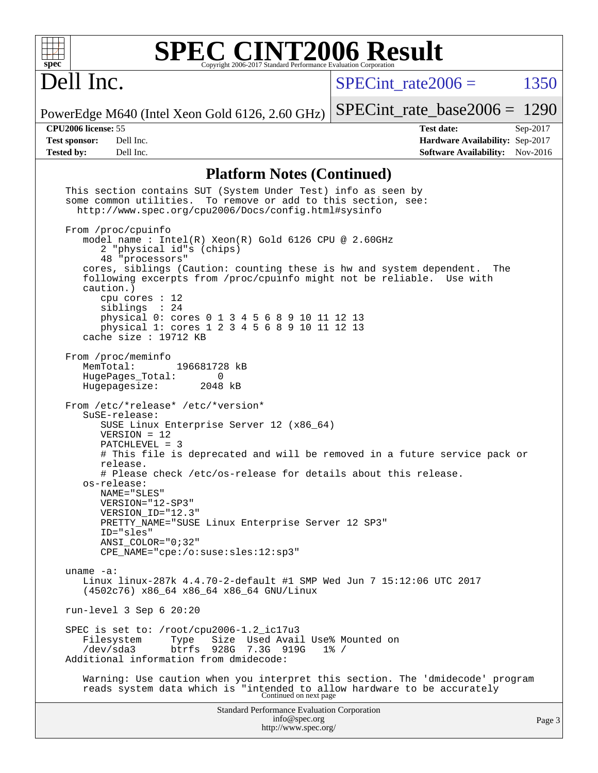

## Dell Inc.

SPECint rate $2006 =$  1350

PowerEdge M640 (Intel Xeon Gold 6126, 2.60 GHz) [SPECint\\_rate\\_base2006 =](http://www.spec.org/auto/cpu2006/Docs/result-fields.html#SPECintratebase2006) 1290

**[CPU2006 license:](http://www.spec.org/auto/cpu2006/Docs/result-fields.html#CPU2006license)** 55 **[Test date:](http://www.spec.org/auto/cpu2006/Docs/result-fields.html#Testdate)** Sep-2017 **[Test sponsor:](http://www.spec.org/auto/cpu2006/Docs/result-fields.html#Testsponsor)** Dell Inc. **[Hardware Availability:](http://www.spec.org/auto/cpu2006/Docs/result-fields.html#HardwareAvailability)** Sep-2017 **[Tested by:](http://www.spec.org/auto/cpu2006/Docs/result-fields.html#Testedby)** Dell Inc. **[Software Availability:](http://www.spec.org/auto/cpu2006/Docs/result-fields.html#SoftwareAvailability)** Nov-2016

#### **[Platform Notes \(Continued\)](http://www.spec.org/auto/cpu2006/Docs/result-fields.html#PlatformNotes)**

Standard Performance Evaluation Corporation [info@spec.org](mailto:info@spec.org) <http://www.spec.org/> Page 3 This section contains SUT (System Under Test) info as seen by some common utilities. To remove or add to this section, see: <http://www.spec.org/cpu2006/Docs/config.html#sysinfo> From /proc/cpuinfo model name : Intel(R) Xeon(R) Gold 6126 CPU @ 2.60GHz 2 "physical id"s (chips) 48 "processors" cores, siblings (Caution: counting these is hw and system dependent. The following excerpts from /proc/cpuinfo might not be reliable. Use with caution.) cpu cores : 12 siblings : 24 physical 0: cores 0 1 3 4 5 6 8 9 10 11 12 13 physical 1: cores 1 2 3 4 5 6 8 9 10 11 12 13 cache size : 19712 KB From /proc/meminfo MemTotal: 196681728 kB<br>HugePages Total: 0 HugePages\_Total: 0<br>Hugepagesize: 2048 kB Hugepagesize: From /etc/\*release\* /etc/\*version\* SuSE-release: SUSE Linux Enterprise Server 12 (x86\_64) VERSION = 12 PATCHLEVEL = 3 # This file is deprecated and will be removed in a future service pack or release. # Please check /etc/os-release for details about this release. os-release: NAME="SLES" VERSION="12-SP3" VERSION\_ID="12.3" PRETTY\_NAME="SUSE Linux Enterprise Server 12 SP3" ID="sles" ANSI\_COLOR="0;32" CPE\_NAME="cpe:/o:suse:sles:12:sp3" uname -a: Linux linux-287k 4.4.70-2-default #1 SMP Wed Jun 7 15:12:06 UTC 2017 (4502c76) x86\_64 x86\_64 x86\_64 GNU/Linux run-level 3 Sep 6 20:20 SPEC is set to: /root/cpu2006-1.2\_ic17u3 Filesystem Type Size Used Avail Use% Mounted on /dev/sda3 btrfs 928G 7.3G 919G 1% / Additional information from dmidecode: Warning: Use caution when you interpret this section. The 'dmidecode' program reads system data which is "intended to allow hardware to be accurately Continued on next page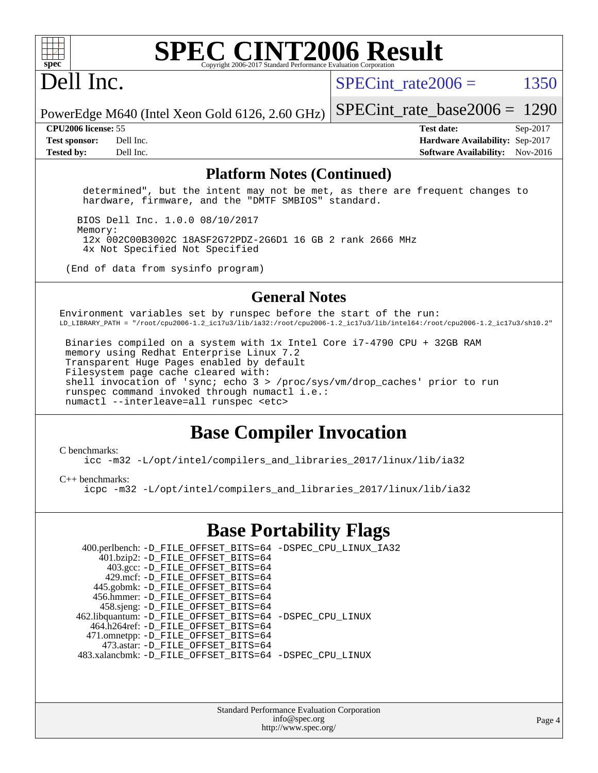

## Dell Inc.

SPECint rate $2006 =$  1350

PowerEdge M640 (Intel Xeon Gold 6126, 2.60 GHz) [SPECint\\_rate\\_base2006 =](http://www.spec.org/auto/cpu2006/Docs/result-fields.html#SPECintratebase2006) 1290

**[CPU2006 license:](http://www.spec.org/auto/cpu2006/Docs/result-fields.html#CPU2006license)** 55 **[Test date:](http://www.spec.org/auto/cpu2006/Docs/result-fields.html#Testdate)** Sep-2017 **[Test sponsor:](http://www.spec.org/auto/cpu2006/Docs/result-fields.html#Testsponsor)** Dell Inc. **[Hardware Availability:](http://www.spec.org/auto/cpu2006/Docs/result-fields.html#HardwareAvailability)** Sep-2017 **[Tested by:](http://www.spec.org/auto/cpu2006/Docs/result-fields.html#Testedby)** Dell Inc. **[Software Availability:](http://www.spec.org/auto/cpu2006/Docs/result-fields.html#SoftwareAvailability)** Nov-2016

#### **[Platform Notes \(Continued\)](http://www.spec.org/auto/cpu2006/Docs/result-fields.html#PlatformNotes)**

 determined", but the intent may not be met, as there are frequent changes to hardware, firmware, and the "DMTF SMBIOS" standard.

 BIOS Dell Inc. 1.0.0 08/10/2017 Memory: 12x 002C00B3002C 18ASF2G72PDZ-2G6D1 16 GB 2 rank 2666 MHz 4x Not Specified Not Specified

(End of data from sysinfo program)

#### **[General Notes](http://www.spec.org/auto/cpu2006/Docs/result-fields.html#GeneralNotes)**

Environment variables set by runspec before the start of the run: LD\_LIBRARY\_PATH = "/root/cpu2006-1.2\_ic17u3/lib/ia32:/root/cpu2006-1.2\_ic17u3/lib/intel64:/root/cpu2006-1.2\_ic17u3/sh10.2"

 Binaries compiled on a system with 1x Intel Core i7-4790 CPU + 32GB RAM memory using Redhat Enterprise Linux 7.2 Transparent Huge Pages enabled by default Filesystem page cache cleared with: shell invocation of 'sync; echo 3 > /proc/sys/vm/drop\_caches' prior to run runspec command invoked through numactl i.e.: numactl --interleave=all runspec <etc>

#### **[Base Compiler Invocation](http://www.spec.org/auto/cpu2006/Docs/result-fields.html#BaseCompilerInvocation)**

#### [C benchmarks](http://www.spec.org/auto/cpu2006/Docs/result-fields.html#Cbenchmarks):

[icc -m32 -L/opt/intel/compilers\\_and\\_libraries\\_2017/linux/lib/ia32](http://www.spec.org/cpu2006/results/res2017q4/cpu2006-20170918-49874.flags.html#user_CCbase_intel_icc_c29f3ff5a7ed067b11e4ec10a03f03ae)

[C++ benchmarks:](http://www.spec.org/auto/cpu2006/Docs/result-fields.html#CXXbenchmarks)

[icpc -m32 -L/opt/intel/compilers\\_and\\_libraries\\_2017/linux/lib/ia32](http://www.spec.org/cpu2006/results/res2017q4/cpu2006-20170918-49874.flags.html#user_CXXbase_intel_icpc_8c35c7808b62dab9ae41a1aa06361b6b)

#### **[Base Portability Flags](http://www.spec.org/auto/cpu2006/Docs/result-fields.html#BasePortabilityFlags)**

| 400.perlbench: -D_FILE_OFFSET_BITS=64 -DSPEC_CPU_LINUX_IA32 |
|-------------------------------------------------------------|
|                                                             |
|                                                             |
|                                                             |
|                                                             |
|                                                             |
|                                                             |
| 462.libquantum: -D_FILE_OFFSET_BITS=64 -DSPEC_CPU_LINUX     |
|                                                             |
|                                                             |
|                                                             |
| 483.xalancbmk: -D_FILE_OFFSET_BITS=64 -DSPEC_CPU_LINUX      |
|                                                             |

Standard Performance Evaluation Corporation [info@spec.org](mailto:info@spec.org) <http://www.spec.org/>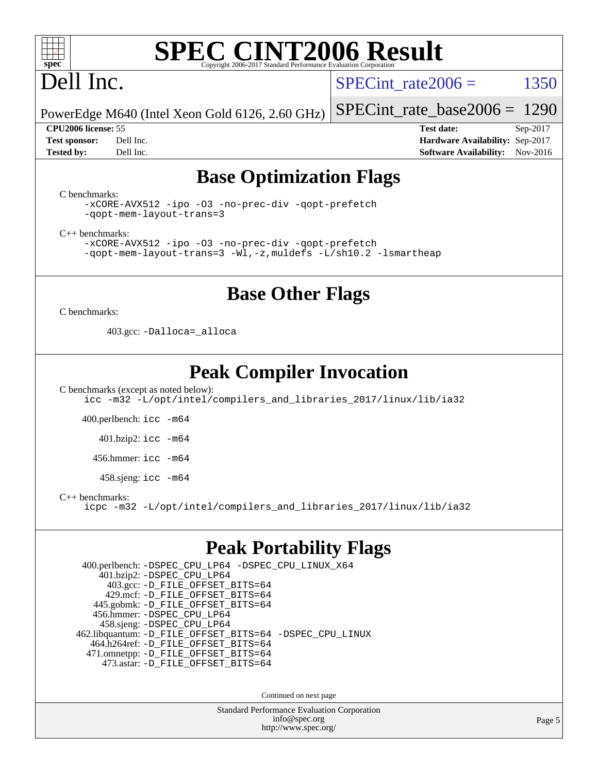

# Dell Inc.

SPECint rate $2006 =$  1350

[SPECint\\_rate\\_base2006 =](http://www.spec.org/auto/cpu2006/Docs/result-fields.html#SPECintratebase2006) 1290

PowerEdge M640 (Intel Xeon Gold 6126, 2.60 GHz)

**[Tested by:](http://www.spec.org/auto/cpu2006/Docs/result-fields.html#Testedby)** Dell Inc. **[Software Availability:](http://www.spec.org/auto/cpu2006/Docs/result-fields.html#SoftwareAvailability)** Nov-2016

**[CPU2006 license:](http://www.spec.org/auto/cpu2006/Docs/result-fields.html#CPU2006license)** 55 **[Test date:](http://www.spec.org/auto/cpu2006/Docs/result-fields.html#Testdate)** Sep-2017 **[Test sponsor:](http://www.spec.org/auto/cpu2006/Docs/result-fields.html#Testsponsor)** Dell Inc. **[Hardware Availability:](http://www.spec.org/auto/cpu2006/Docs/result-fields.html#HardwareAvailability)** Sep-2017

### **[Base Optimization Flags](http://www.spec.org/auto/cpu2006/Docs/result-fields.html#BaseOptimizationFlags)**

[C benchmarks](http://www.spec.org/auto/cpu2006/Docs/result-fields.html#Cbenchmarks):

[-xCORE-AVX512](http://www.spec.org/cpu2006/results/res2017q4/cpu2006-20170918-49874.flags.html#user_CCbase_f-xCORE-AVX512) [-ipo](http://www.spec.org/cpu2006/results/res2017q4/cpu2006-20170918-49874.flags.html#user_CCbase_f-ipo) [-O3](http://www.spec.org/cpu2006/results/res2017q4/cpu2006-20170918-49874.flags.html#user_CCbase_f-O3) [-no-prec-div](http://www.spec.org/cpu2006/results/res2017q4/cpu2006-20170918-49874.flags.html#user_CCbase_f-no-prec-div) [-qopt-prefetch](http://www.spec.org/cpu2006/results/res2017q4/cpu2006-20170918-49874.flags.html#user_CCbase_f-qopt-prefetch) [-qopt-mem-layout-trans=3](http://www.spec.org/cpu2006/results/res2017q4/cpu2006-20170918-49874.flags.html#user_CCbase_f-qopt-mem-layout-trans_170f5be61cd2cedc9b54468c59262d5d)

[C++ benchmarks:](http://www.spec.org/auto/cpu2006/Docs/result-fields.html#CXXbenchmarks)

[-xCORE-AVX512](http://www.spec.org/cpu2006/results/res2017q4/cpu2006-20170918-49874.flags.html#user_CXXbase_f-xCORE-AVX512) [-ipo](http://www.spec.org/cpu2006/results/res2017q4/cpu2006-20170918-49874.flags.html#user_CXXbase_f-ipo) [-O3](http://www.spec.org/cpu2006/results/res2017q4/cpu2006-20170918-49874.flags.html#user_CXXbase_f-O3) [-no-prec-div](http://www.spec.org/cpu2006/results/res2017q4/cpu2006-20170918-49874.flags.html#user_CXXbase_f-no-prec-div) [-qopt-prefetch](http://www.spec.org/cpu2006/results/res2017q4/cpu2006-20170918-49874.flags.html#user_CXXbase_f-qopt-prefetch) [-qopt-mem-layout-trans=3](http://www.spec.org/cpu2006/results/res2017q4/cpu2006-20170918-49874.flags.html#user_CXXbase_f-qopt-mem-layout-trans_170f5be61cd2cedc9b54468c59262d5d) [-Wl,-z,muldefs](http://www.spec.org/cpu2006/results/res2017q4/cpu2006-20170918-49874.flags.html#user_CXXbase_link_force_multiple1_74079c344b956b9658436fd1b6dd3a8a) [-L/sh10.2 -lsmartheap](http://www.spec.org/cpu2006/results/res2017q4/cpu2006-20170918-49874.flags.html#user_CXXbase_SmartHeap_b831f2d313e2fffa6dfe3f00ffc1f1c0)

#### **[Base Other Flags](http://www.spec.org/auto/cpu2006/Docs/result-fields.html#BaseOtherFlags)**

[C benchmarks](http://www.spec.org/auto/cpu2006/Docs/result-fields.html#Cbenchmarks):

403.gcc: [-Dalloca=\\_alloca](http://www.spec.org/cpu2006/results/res2017q4/cpu2006-20170918-49874.flags.html#b403.gcc_baseEXTRA_CFLAGS_Dalloca_be3056838c12de2578596ca5467af7f3)

### **[Peak Compiler Invocation](http://www.spec.org/auto/cpu2006/Docs/result-fields.html#PeakCompilerInvocation)**

[C benchmarks \(except as noted below\)](http://www.spec.org/auto/cpu2006/Docs/result-fields.html#Cbenchmarksexceptasnotedbelow): [icc -m32 -L/opt/intel/compilers\\_and\\_libraries\\_2017/linux/lib/ia32](http://www.spec.org/cpu2006/results/res2017q4/cpu2006-20170918-49874.flags.html#user_CCpeak_intel_icc_c29f3ff5a7ed067b11e4ec10a03f03ae)

400.perlbench: [icc -m64](http://www.spec.org/cpu2006/results/res2017q4/cpu2006-20170918-49874.flags.html#user_peakCCLD400_perlbench_intel_icc_64bit_bda6cc9af1fdbb0edc3795bac97ada53)

401.bzip2: [icc -m64](http://www.spec.org/cpu2006/results/res2017q4/cpu2006-20170918-49874.flags.html#user_peakCCLD401_bzip2_intel_icc_64bit_bda6cc9af1fdbb0edc3795bac97ada53)

456.hmmer: [icc -m64](http://www.spec.org/cpu2006/results/res2017q4/cpu2006-20170918-49874.flags.html#user_peakCCLD456_hmmer_intel_icc_64bit_bda6cc9af1fdbb0edc3795bac97ada53)

458.sjeng: [icc -m64](http://www.spec.org/cpu2006/results/res2017q4/cpu2006-20170918-49874.flags.html#user_peakCCLD458_sjeng_intel_icc_64bit_bda6cc9af1fdbb0edc3795bac97ada53)

[C++ benchmarks:](http://www.spec.org/auto/cpu2006/Docs/result-fields.html#CXXbenchmarks)

[icpc -m32 -L/opt/intel/compilers\\_and\\_libraries\\_2017/linux/lib/ia32](http://www.spec.org/cpu2006/results/res2017q4/cpu2006-20170918-49874.flags.html#user_CXXpeak_intel_icpc_8c35c7808b62dab9ae41a1aa06361b6b)

#### **[Peak Portability Flags](http://www.spec.org/auto/cpu2006/Docs/result-fields.html#PeakPortabilityFlags)**

 400.perlbench: [-DSPEC\\_CPU\\_LP64](http://www.spec.org/cpu2006/results/res2017q4/cpu2006-20170918-49874.flags.html#b400.perlbench_peakCPORTABILITY_DSPEC_CPU_LP64) [-DSPEC\\_CPU\\_LINUX\\_X64](http://www.spec.org/cpu2006/results/res2017q4/cpu2006-20170918-49874.flags.html#b400.perlbench_peakCPORTABILITY_DSPEC_CPU_LINUX_X64) 401.bzip2: [-DSPEC\\_CPU\\_LP64](http://www.spec.org/cpu2006/results/res2017q4/cpu2006-20170918-49874.flags.html#suite_peakCPORTABILITY401_bzip2_DSPEC_CPU_LP64) 403.gcc: [-D\\_FILE\\_OFFSET\\_BITS=64](http://www.spec.org/cpu2006/results/res2017q4/cpu2006-20170918-49874.flags.html#user_peakPORTABILITY403_gcc_file_offset_bits_64_438cf9856305ebd76870a2c6dc2689ab) 429.mcf: [-D\\_FILE\\_OFFSET\\_BITS=64](http://www.spec.org/cpu2006/results/res2017q4/cpu2006-20170918-49874.flags.html#user_peakPORTABILITY429_mcf_file_offset_bits_64_438cf9856305ebd76870a2c6dc2689ab) 445.gobmk: [-D\\_FILE\\_OFFSET\\_BITS=64](http://www.spec.org/cpu2006/results/res2017q4/cpu2006-20170918-49874.flags.html#user_peakPORTABILITY445_gobmk_file_offset_bits_64_438cf9856305ebd76870a2c6dc2689ab) 456.hmmer: [-DSPEC\\_CPU\\_LP64](http://www.spec.org/cpu2006/results/res2017q4/cpu2006-20170918-49874.flags.html#suite_peakCPORTABILITY456_hmmer_DSPEC_CPU_LP64) 458.sjeng: [-DSPEC\\_CPU\\_LP64](http://www.spec.org/cpu2006/results/res2017q4/cpu2006-20170918-49874.flags.html#suite_peakCPORTABILITY458_sjeng_DSPEC_CPU_LP64) 462.libquantum: [-D\\_FILE\\_OFFSET\\_BITS=64](http://www.spec.org/cpu2006/results/res2017q4/cpu2006-20170918-49874.flags.html#user_peakPORTABILITY462_libquantum_file_offset_bits_64_438cf9856305ebd76870a2c6dc2689ab) [-DSPEC\\_CPU\\_LINUX](http://www.spec.org/cpu2006/results/res2017q4/cpu2006-20170918-49874.flags.html#b462.libquantum_peakCPORTABILITY_DSPEC_CPU_LINUX) 464.h264ref: [-D\\_FILE\\_OFFSET\\_BITS=64](http://www.spec.org/cpu2006/results/res2017q4/cpu2006-20170918-49874.flags.html#user_peakPORTABILITY464_h264ref_file_offset_bits_64_438cf9856305ebd76870a2c6dc2689ab) 471.omnetpp: [-D\\_FILE\\_OFFSET\\_BITS=64](http://www.spec.org/cpu2006/results/res2017q4/cpu2006-20170918-49874.flags.html#user_peakPORTABILITY471_omnetpp_file_offset_bits_64_438cf9856305ebd76870a2c6dc2689ab) 473.astar: [-D\\_FILE\\_OFFSET\\_BITS=64](http://www.spec.org/cpu2006/results/res2017q4/cpu2006-20170918-49874.flags.html#user_peakPORTABILITY473_astar_file_offset_bits_64_438cf9856305ebd76870a2c6dc2689ab)

Continued on next page

Standard Performance Evaluation Corporation [info@spec.org](mailto:info@spec.org) <http://www.spec.org/>

Page 5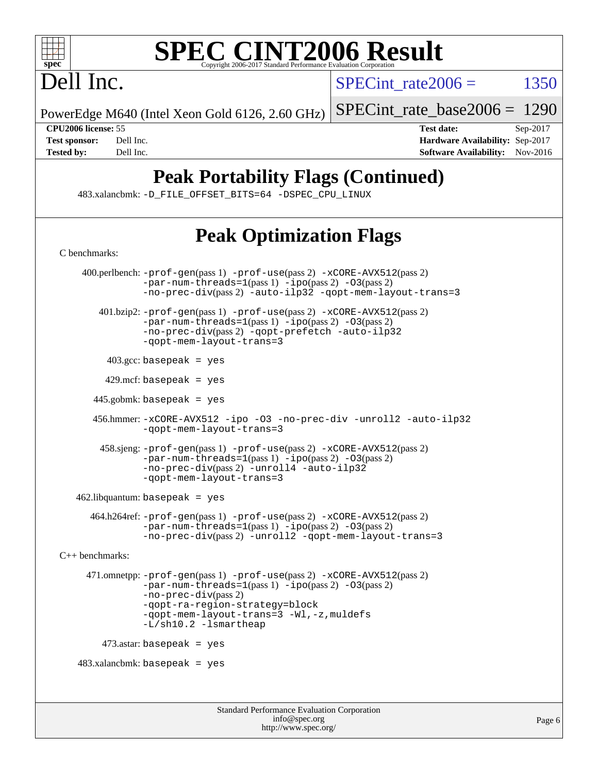

# Dell Inc.

SPECint rate $2006 =$  1350

PowerEdge M640 (Intel Xeon Gold 6126, 2.60 GHz)

[SPECint\\_rate\\_base2006 =](http://www.spec.org/auto/cpu2006/Docs/result-fields.html#SPECintratebase2006) 1290

**[CPU2006 license:](http://www.spec.org/auto/cpu2006/Docs/result-fields.html#CPU2006license)** 55 **[Test date:](http://www.spec.org/auto/cpu2006/Docs/result-fields.html#Testdate)** Sep-2017 **[Test sponsor:](http://www.spec.org/auto/cpu2006/Docs/result-fields.html#Testsponsor)** Dell Inc. **[Hardware Availability:](http://www.spec.org/auto/cpu2006/Docs/result-fields.html#HardwareAvailability)** Sep-2017 **[Tested by:](http://www.spec.org/auto/cpu2006/Docs/result-fields.html#Testedby)** Dell Inc. **[Software Availability:](http://www.spec.org/auto/cpu2006/Docs/result-fields.html#SoftwareAvailability)** Nov-2016

## **[Peak Portability Flags \(Continued\)](http://www.spec.org/auto/cpu2006/Docs/result-fields.html#PeakPortabilityFlags)**

483.xalancbmk: [-D\\_FILE\\_OFFSET\\_BITS=64](http://www.spec.org/cpu2006/results/res2017q4/cpu2006-20170918-49874.flags.html#user_peakPORTABILITY483_xalancbmk_file_offset_bits_64_438cf9856305ebd76870a2c6dc2689ab) [-DSPEC\\_CPU\\_LINUX](http://www.spec.org/cpu2006/results/res2017q4/cpu2006-20170918-49874.flags.html#b483.xalancbmk_peakCXXPORTABILITY_DSPEC_CPU_LINUX)

## **[Peak Optimization Flags](http://www.spec.org/auto/cpu2006/Docs/result-fields.html#PeakOptimizationFlags)**

Standard Performance Evaluation Corporation [info@spec.org](mailto:info@spec.org) <http://www.spec.org/> [C benchmarks](http://www.spec.org/auto/cpu2006/Docs/result-fields.html#Cbenchmarks): 400.perlbench: [-prof-gen](http://www.spec.org/cpu2006/results/res2017q4/cpu2006-20170918-49874.flags.html#user_peakPASS1_CFLAGSPASS1_LDCFLAGS400_perlbench_prof_gen_e43856698f6ca7b7e442dfd80e94a8fc)(pass 1) [-prof-use](http://www.spec.org/cpu2006/results/res2017q4/cpu2006-20170918-49874.flags.html#user_peakPASS2_CFLAGSPASS2_LDCFLAGS400_perlbench_prof_use_bccf7792157ff70d64e32fe3e1250b55)(pass 2) [-xCORE-AVX512](http://www.spec.org/cpu2006/results/res2017q4/cpu2006-20170918-49874.flags.html#user_peakPASS2_CFLAGSPASS2_LDCFLAGS400_perlbench_f-xCORE-AVX512)(pass 2)  $-par-num-threads=1(pass 1) -ipo(pass 2) -O3(pass 2)$  $-par-num-threads=1(pass 1) -ipo(pass 2) -O3(pass 2)$  $-par-num-threads=1(pass 1) -ipo(pass 2) -O3(pass 2)$  $-par-num-threads=1(pass 1) -ipo(pass 2) -O3(pass 2)$  $-par-num-threads=1(pass 1) -ipo(pass 2) -O3(pass 2)$  $-par-num-threads=1(pass 1) -ipo(pass 2) -O3(pass 2)$ [-no-prec-div](http://www.spec.org/cpu2006/results/res2017q4/cpu2006-20170918-49874.flags.html#user_peakPASS2_CFLAGSPASS2_LDCFLAGS400_perlbench_f-no-prec-div)(pass 2) [-auto-ilp32](http://www.spec.org/cpu2006/results/res2017q4/cpu2006-20170918-49874.flags.html#user_peakCOPTIMIZE400_perlbench_f-auto-ilp32) [-qopt-mem-layout-trans=3](http://www.spec.org/cpu2006/results/res2017q4/cpu2006-20170918-49874.flags.html#user_peakCOPTIMIZE400_perlbench_f-qopt-mem-layout-trans_170f5be61cd2cedc9b54468c59262d5d) 401.bzip2: [-prof-gen](http://www.spec.org/cpu2006/results/res2017q4/cpu2006-20170918-49874.flags.html#user_peakPASS1_CFLAGSPASS1_LDCFLAGS401_bzip2_prof_gen_e43856698f6ca7b7e442dfd80e94a8fc)(pass 1) [-prof-use](http://www.spec.org/cpu2006/results/res2017q4/cpu2006-20170918-49874.flags.html#user_peakPASS2_CFLAGSPASS2_LDCFLAGS401_bzip2_prof_use_bccf7792157ff70d64e32fe3e1250b55)(pass 2) [-xCORE-AVX512](http://www.spec.org/cpu2006/results/res2017q4/cpu2006-20170918-49874.flags.html#user_peakPASS2_CFLAGSPASS2_LDCFLAGS401_bzip2_f-xCORE-AVX512)(pass 2) [-par-num-threads=1](http://www.spec.org/cpu2006/results/res2017q4/cpu2006-20170918-49874.flags.html#user_peakPASS1_CFLAGSPASS1_LDCFLAGS401_bzip2_par_num_threads_786a6ff141b4e9e90432e998842df6c2)(pass 1) [-ipo](http://www.spec.org/cpu2006/results/res2017q4/cpu2006-20170918-49874.flags.html#user_peakPASS2_CFLAGSPASS2_LDCFLAGS401_bzip2_f-ipo)(pass 2) [-O3](http://www.spec.org/cpu2006/results/res2017q4/cpu2006-20170918-49874.flags.html#user_peakPASS2_CFLAGSPASS2_LDCFLAGS401_bzip2_f-O3)(pass 2) [-no-prec-div](http://www.spec.org/cpu2006/results/res2017q4/cpu2006-20170918-49874.flags.html#user_peakPASS2_CFLAGSPASS2_LDCFLAGS401_bzip2_f-no-prec-div)(pass 2) [-qopt-prefetch](http://www.spec.org/cpu2006/results/res2017q4/cpu2006-20170918-49874.flags.html#user_peakCOPTIMIZE401_bzip2_f-qopt-prefetch) [-auto-ilp32](http://www.spec.org/cpu2006/results/res2017q4/cpu2006-20170918-49874.flags.html#user_peakCOPTIMIZE401_bzip2_f-auto-ilp32) [-qopt-mem-layout-trans=3](http://www.spec.org/cpu2006/results/res2017q4/cpu2006-20170918-49874.flags.html#user_peakCOPTIMIZE401_bzip2_f-qopt-mem-layout-trans_170f5be61cd2cedc9b54468c59262d5d)  $403.\text{gcc: basepeak}$  = yes  $429$ .mcf: basepeak = yes  $445.gobmk:$  basepeak = yes 456.hmmer: [-xCORE-AVX512](http://www.spec.org/cpu2006/results/res2017q4/cpu2006-20170918-49874.flags.html#user_peakOPTIMIZE456_hmmer_f-xCORE-AVX512) [-ipo](http://www.spec.org/cpu2006/results/res2017q4/cpu2006-20170918-49874.flags.html#user_peakOPTIMIZE456_hmmer_f-ipo) [-O3](http://www.spec.org/cpu2006/results/res2017q4/cpu2006-20170918-49874.flags.html#user_peakOPTIMIZE456_hmmer_f-O3) [-no-prec-div](http://www.spec.org/cpu2006/results/res2017q4/cpu2006-20170918-49874.flags.html#user_peakOPTIMIZE456_hmmer_f-no-prec-div) [-unroll2](http://www.spec.org/cpu2006/results/res2017q4/cpu2006-20170918-49874.flags.html#user_peakCOPTIMIZE456_hmmer_f-unroll_784dae83bebfb236979b41d2422d7ec2) [-auto-ilp32](http://www.spec.org/cpu2006/results/res2017q4/cpu2006-20170918-49874.flags.html#user_peakCOPTIMIZE456_hmmer_f-auto-ilp32) [-qopt-mem-layout-trans=3](http://www.spec.org/cpu2006/results/res2017q4/cpu2006-20170918-49874.flags.html#user_peakCOPTIMIZE456_hmmer_f-qopt-mem-layout-trans_170f5be61cd2cedc9b54468c59262d5d) 458.sjeng: [-prof-gen](http://www.spec.org/cpu2006/results/res2017q4/cpu2006-20170918-49874.flags.html#user_peakPASS1_CFLAGSPASS1_LDCFLAGS458_sjeng_prof_gen_e43856698f6ca7b7e442dfd80e94a8fc)(pass 1) [-prof-use](http://www.spec.org/cpu2006/results/res2017q4/cpu2006-20170918-49874.flags.html#user_peakPASS2_CFLAGSPASS2_LDCFLAGS458_sjeng_prof_use_bccf7792157ff70d64e32fe3e1250b55)(pass 2) [-xCORE-AVX512](http://www.spec.org/cpu2006/results/res2017q4/cpu2006-20170918-49874.flags.html#user_peakPASS2_CFLAGSPASS2_LDCFLAGS458_sjeng_f-xCORE-AVX512)(pass 2) [-par-num-threads=1](http://www.spec.org/cpu2006/results/res2017q4/cpu2006-20170918-49874.flags.html#user_peakPASS1_CFLAGSPASS1_LDCFLAGS458_sjeng_par_num_threads_786a6ff141b4e9e90432e998842df6c2)(pass 1) [-ipo](http://www.spec.org/cpu2006/results/res2017q4/cpu2006-20170918-49874.flags.html#user_peakPASS2_CFLAGSPASS2_LDCFLAGS458_sjeng_f-ipo)(pass 2) [-O3](http://www.spec.org/cpu2006/results/res2017q4/cpu2006-20170918-49874.flags.html#user_peakPASS2_CFLAGSPASS2_LDCFLAGS458_sjeng_f-O3)(pass 2) [-no-prec-div](http://www.spec.org/cpu2006/results/res2017q4/cpu2006-20170918-49874.flags.html#user_peakPASS2_CFLAGSPASS2_LDCFLAGS458_sjeng_f-no-prec-div)(pass 2) [-unroll4](http://www.spec.org/cpu2006/results/res2017q4/cpu2006-20170918-49874.flags.html#user_peakCOPTIMIZE458_sjeng_f-unroll_4e5e4ed65b7fd20bdcd365bec371b81f) [-auto-ilp32](http://www.spec.org/cpu2006/results/res2017q4/cpu2006-20170918-49874.flags.html#user_peakCOPTIMIZE458_sjeng_f-auto-ilp32) [-qopt-mem-layout-trans=3](http://www.spec.org/cpu2006/results/res2017q4/cpu2006-20170918-49874.flags.html#user_peakCOPTIMIZE458_sjeng_f-qopt-mem-layout-trans_170f5be61cd2cedc9b54468c59262d5d) 462.libquantum: basepeak = yes 464.h264ref: [-prof-gen](http://www.spec.org/cpu2006/results/res2017q4/cpu2006-20170918-49874.flags.html#user_peakPASS1_CFLAGSPASS1_LDCFLAGS464_h264ref_prof_gen_e43856698f6ca7b7e442dfd80e94a8fc)(pass 1) [-prof-use](http://www.spec.org/cpu2006/results/res2017q4/cpu2006-20170918-49874.flags.html#user_peakPASS2_CFLAGSPASS2_LDCFLAGS464_h264ref_prof_use_bccf7792157ff70d64e32fe3e1250b55)(pass 2) [-xCORE-AVX512](http://www.spec.org/cpu2006/results/res2017q4/cpu2006-20170918-49874.flags.html#user_peakPASS2_CFLAGSPASS2_LDCFLAGS464_h264ref_f-xCORE-AVX512)(pass 2)  $-$ par-num-threads=1(pass 1)  $-$ ipo(pass 2)  $-$ O3(pass 2) [-no-prec-div](http://www.spec.org/cpu2006/results/res2017q4/cpu2006-20170918-49874.flags.html#user_peakPASS2_CFLAGSPASS2_LDCFLAGS464_h264ref_f-no-prec-div)(pass 2) [-unroll2](http://www.spec.org/cpu2006/results/res2017q4/cpu2006-20170918-49874.flags.html#user_peakCOPTIMIZE464_h264ref_f-unroll_784dae83bebfb236979b41d2422d7ec2) [-qopt-mem-layout-trans=3](http://www.spec.org/cpu2006/results/res2017q4/cpu2006-20170918-49874.flags.html#user_peakCOPTIMIZE464_h264ref_f-qopt-mem-layout-trans_170f5be61cd2cedc9b54468c59262d5d) [C++ benchmarks:](http://www.spec.org/auto/cpu2006/Docs/result-fields.html#CXXbenchmarks) 471.omnetpp: [-prof-gen](http://www.spec.org/cpu2006/results/res2017q4/cpu2006-20170918-49874.flags.html#user_peakPASS1_CXXFLAGSPASS1_LDCXXFLAGS471_omnetpp_prof_gen_e43856698f6ca7b7e442dfd80e94a8fc)(pass 1) [-prof-use](http://www.spec.org/cpu2006/results/res2017q4/cpu2006-20170918-49874.flags.html#user_peakPASS2_CXXFLAGSPASS2_LDCXXFLAGS471_omnetpp_prof_use_bccf7792157ff70d64e32fe3e1250b55)(pass 2) [-xCORE-AVX512](http://www.spec.org/cpu2006/results/res2017q4/cpu2006-20170918-49874.flags.html#user_peakPASS2_CXXFLAGSPASS2_LDCXXFLAGS471_omnetpp_f-xCORE-AVX512)(pass 2) [-par-num-threads=1](http://www.spec.org/cpu2006/results/res2017q4/cpu2006-20170918-49874.flags.html#user_peakPASS1_CXXFLAGSPASS1_LDCXXFLAGS471_omnetpp_par_num_threads_786a6ff141b4e9e90432e998842df6c2)(pass 1) [-ipo](http://www.spec.org/cpu2006/results/res2017q4/cpu2006-20170918-49874.flags.html#user_peakPASS2_CXXFLAGSPASS2_LDCXXFLAGS471_omnetpp_f-ipo)(pass 2) [-O3](http://www.spec.org/cpu2006/results/res2017q4/cpu2006-20170918-49874.flags.html#user_peakPASS2_CXXFLAGSPASS2_LDCXXFLAGS471_omnetpp_f-O3)(pass 2) [-no-prec-div](http://www.spec.org/cpu2006/results/res2017q4/cpu2006-20170918-49874.flags.html#user_peakPASS2_CXXFLAGSPASS2_LDCXXFLAGS471_omnetpp_f-no-prec-div)(pass 2) [-qopt-ra-region-strategy=block](http://www.spec.org/cpu2006/results/res2017q4/cpu2006-20170918-49874.flags.html#user_peakCXXOPTIMIZE471_omnetpp_f-qopt-ra-region-strategy_430aa8f7c220cbde92ae827fa8d9be32)  [-qopt-mem-layout-trans=3](http://www.spec.org/cpu2006/results/res2017q4/cpu2006-20170918-49874.flags.html#user_peakCXXOPTIMIZE471_omnetpp_f-qopt-mem-layout-trans_170f5be61cd2cedc9b54468c59262d5d) [-Wl,-z,muldefs](http://www.spec.org/cpu2006/results/res2017q4/cpu2006-20170918-49874.flags.html#user_peakEXTRA_LDFLAGS471_omnetpp_link_force_multiple1_74079c344b956b9658436fd1b6dd3a8a) [-L/sh10.2 -lsmartheap](http://www.spec.org/cpu2006/results/res2017q4/cpu2006-20170918-49874.flags.html#user_peakEXTRA_LIBS471_omnetpp_SmartHeap_b831f2d313e2fffa6dfe3f00ffc1f1c0)  $473$ .astar: basepeak = yes  $483.xalanchmk: basepeak = yes$